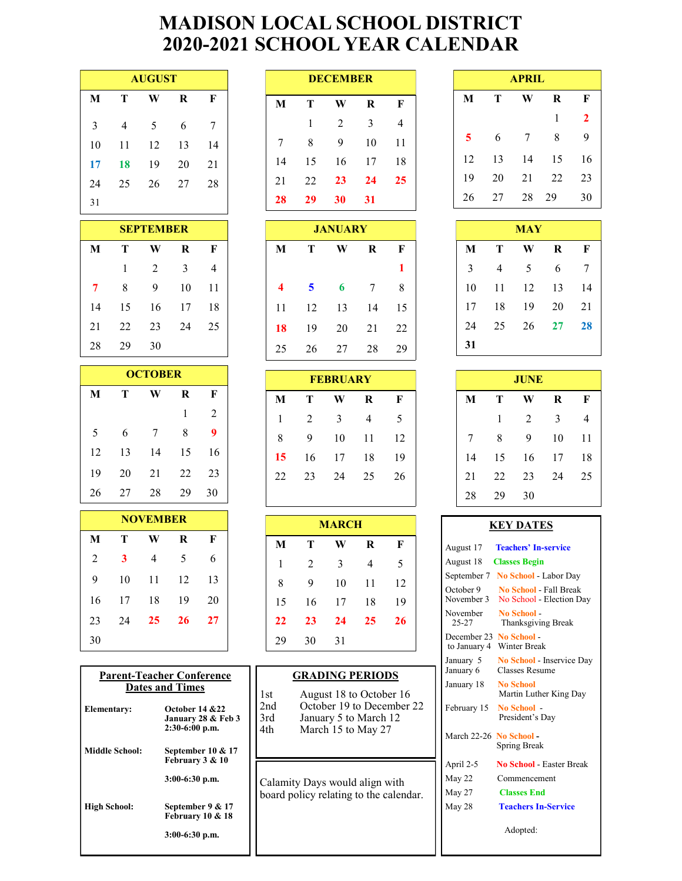# **MADISON LOCAL SCHOOL DISTRICT 2020-2021 SCHOOL YEAR CALENDAR**

| <b>AUGUST</b> |    |    |    |    |  |  |  |  |  |
|---------------|----|----|----|----|--|--|--|--|--|
| M             | Т  | W  | R  | F  |  |  |  |  |  |
| 3             | 4  | 5  | 6  | 7  |  |  |  |  |  |
| 10            | 11 | 12 | 13 | 14 |  |  |  |  |  |
| 17            | 18 | 19 | 20 | 21 |  |  |  |  |  |
| 24            | 25 | 26 | 27 | 28 |  |  |  |  |  |
| 31            |    |    |    |    |  |  |  |  |  |

| <b>SEPTEMBER</b> |    |    |    |    |  |  |  |  |  |  |
|------------------|----|----|----|----|--|--|--|--|--|--|
| M                | т  | W  | R  | F  |  |  |  |  |  |  |
|                  | 1  | 2  | 3  | 4  |  |  |  |  |  |  |
| 7                | 8  | 9  | 10 | 11 |  |  |  |  |  |  |
| 14               | 15 | 16 | 17 | 18 |  |  |  |  |  |  |
| 21               | 22 | 23 | 24 | 25 |  |  |  |  |  |  |
| 28               | 29 | 30 |    |    |  |  |  |  |  |  |

| <b>OCTOBER</b> |    |    |    |    |  |  |  |  |  |
|----------------|----|----|----|----|--|--|--|--|--|
| M              | т  | W  | R  | F  |  |  |  |  |  |
|                |    |    | 1  | 2  |  |  |  |  |  |
| 5              | 6  | 7  | 8  | 9  |  |  |  |  |  |
| 12             | 13 | 14 | 15 | 16 |  |  |  |  |  |
| 19             | 20 | 21 | 22 | 23 |  |  |  |  |  |
| 26             | 27 | 28 | 29 | 30 |  |  |  |  |  |

| <b>NOVEMBER</b> |                  |    |    |    |  |  |  |  |  |
|-----------------|------------------|----|----|----|--|--|--|--|--|
| M               | Т<br>R<br>F<br>W |    |    |    |  |  |  |  |  |
| 2               | 3                | 4  | 5  | 6  |  |  |  |  |  |
| 9               | 10               | 11 | 12 | 13 |  |  |  |  |  |
| 16              | 17               | 18 | 19 | 20 |  |  |  |  |  |
| 23              | 24               | 25 | 26 | 27 |  |  |  |  |  |
| 30              |                  |    |    |    |  |  |  |  |  |

| <b>Parent-Teacher Conference</b><br><b>Dates and Times</b> |                                                           |  |  |  |  |  |  |
|------------------------------------------------------------|-----------------------------------------------------------|--|--|--|--|--|--|
| <b>Elementary:</b>                                         | October 14 & 22<br>January 28 & Feb 3<br>$2:30-6:00$ p.m. |  |  |  |  |  |  |
| <b>Middle School:</b>                                      | September 10 & 17<br>February 3 & 10                      |  |  |  |  |  |  |
|                                                            | $3:00-6:30$ p.m.                                          |  |  |  |  |  |  |
| <b>High School:</b>                                        | September 9 & 17<br>February 10 & 18                      |  |  |  |  |  |  |
|                                                            | $3:00-6:30$ p.m.                                          |  |  |  |  |  |  |

| <b>AUGUST</b> |    |    | <b>DECEMBER</b> |    |    |           |    | <b>APRIL</b>   |    |    |    |
|---------------|----|----|-----------------|----|----|-----------|----|----------------|----|----|----|
| W             | R  | F  |                 | M  | Т  | W         | R  | F              | M  | Т  | W  |
| 5             | 6  | -7 |                 |    |    | 2         | 3  | $\overline{4}$ |    |    |    |
| 12            | 13 | 14 |                 | 7  | 8  | 9         | 10 | 11             | 5. | 6  |    |
| 19            | 20 | 21 |                 | 14 | 15 | 16        | 17 | 18             | 12 | 13 | 14 |
| 26            | 27 | 28 |                 | 21 | 22 | <b>23</b> | 24 | 25             | 19 | 20 | 21 |
|               |    |    |                 | 28 | 29 | 30        | 31 |                | 26 | 27 | 28 |

|              | <b>SEPTEMBER</b> |    |                |                         |    | <b>JANUARY</b> |    |    |    |    | <b>MAY</b> |
|--------------|------------------|----|----------------|-------------------------|----|----------------|----|----|----|----|------------|
| T            | W                | R  | F              | M                       |    | W              | R  | F  | M  | T  |            |
| $\mathbf{1}$ | 2                | 3  | $\overline{4}$ |                         |    |                |    |    | 3  | 4  |            |
| 8            | 9                | 10 | 11             | $\overline{\mathbf{4}}$ | 5  | 6              | -7 | 8  | 10 | 11 |            |
| 15           | 16               | 17 | 18             | 11                      | 12 | 13             | 14 | 15 | 17 | 18 |            |
| 22.          | 23               | 24 | 25             | 18                      | 19 | 20             | 21 | 22 | 24 | 25 |            |
| 29           | 30               |    |                | 25                      | 26 | 27             | 28 | 29 | 31 |    |            |

|   | <b>OCTOBER</b> |    |    |    | <b>FEBRUARY</b> |    |                |             |    | <b>JUNE</b> |                |
|---|----------------|----|----|----|-----------------|----|----------------|-------------|----|-------------|----------------|
|   | W              | R  | F  | M  | Т               | W  | R              | $\mathbf F$ | M  | Т           | W              |
|   |                |    | 2  | 1  | $2^{1}$         | 3  | $\overline{4}$ | 5           |    |             | $\mathfrak{D}$ |
|   | 7              | 8  | 9  | 8  | 9               | 10 | 11             | 12          |    | 8           | -9             |
| 3 | 14             | 15 | 16 | 15 | 16              | 17 | 18             | 19          | 14 | 15          | -16            |
| 0 | 21             | 22 | 23 | 22 | 23              | 24 | 25             | 26          | 21 | 22          | 23             |
| 7 | 28             | 29 | 30 |    |                 |    |                |             | 28 | 29          | 30             |

| <b>MARCH</b> |                |    |    |    |  |  |  |  |  |
|--------------|----------------|----|----|----|--|--|--|--|--|
| M            | Т              | W  | R  | F  |  |  |  |  |  |
| 1            | $\overline{2}$ | 3  | 4  | 5  |  |  |  |  |  |
| 8            | 9              | 10 | 11 | 12 |  |  |  |  |  |
| 15           | 16             | 17 | 18 | 19 |  |  |  |  |  |
| 22           | 23             | 24 | 25 | 26 |  |  |  |  |  |
| 29           | 30             | 31 |    |    |  |  |  |  |  |

### **GRADING PERIODS**

1st August 18 to October 16<br>2nd October 19 to December 2nd October 19 to December 22<br>3rd January 5 to March 12 3rd January 5 to March 12<br>4th March 15 to May 27 March 15 to May 27

Calamity Days would align with board policy relating to the calendar.

| <b>APRIL</b> |    |    |    |              |  |  |  |  |  |
|--------------|----|----|----|--------------|--|--|--|--|--|
| M            | Т  | R  | F  |              |  |  |  |  |  |
|              |    |    | 1  | $\mathbf{2}$ |  |  |  |  |  |
| 5            | 6  | 7  | 8  | 9            |  |  |  |  |  |
| 12           | 13 | 14 | 15 | 16           |  |  |  |  |  |
| 19           | 20 | 21 | 22 | 23           |  |  |  |  |  |
| 26           | 27 | 28 | 29 | 30           |  |  |  |  |  |

| <b>MAY</b> |    |    |         |    |  |  |  |  |
|------------|----|----|---------|----|--|--|--|--|
| M          | Т  | W  | $\bf R$ | F  |  |  |  |  |
| 3          | 4  | 5  | 6       | 7  |  |  |  |  |
| 10         | 11 | 12 | 13      | 14 |  |  |  |  |
| 17         | 18 | 19 | 20      | 21 |  |  |  |  |
| 24         | 25 | 26 | 27      | 28 |  |  |  |  |
| 31         |    |    |         |    |  |  |  |  |

|    | <b>JUNE</b> |                |    |    |  |  |  |  |  |  |
|----|-------------|----------------|----|----|--|--|--|--|--|--|
| M  | т           | w              | R  | F  |  |  |  |  |  |  |
|    | 1           | $\overline{2}$ | 3  | 4  |  |  |  |  |  |  |
| 7  | 8           | 9              | 10 | 11 |  |  |  |  |  |  |
| 14 | 15          | 16             | 17 | 18 |  |  |  |  |  |  |
| 21 | 22          | 23             | 24 | 25 |  |  |  |  |  |  |
| 28 | 29          | 30             |    |    |  |  |  |  |  |  |

#### **KEY DATES**

| August 17                   | <b>Teachers' In-service</b>                             |
|-----------------------------|---------------------------------------------------------|
| August 18                   | <b>Classes Begin</b>                                    |
| September 7                 | <b>No School</b> - Labor Day                            |
| October 9<br>November 3     | <b>No School</b> Fall Break<br>No School - Election Day |
| November<br>$25 - 27$       | No School<br>Thanksgiving Break                         |
| December 23<br>to January 4 | No School -<br><b>Winter Break</b>                      |
| January 5<br>January 6      | No School - Inservice Day<br><b>Classes Resume</b>      |
| January 18                  | <b>No School</b><br>Martin Luther King Day              |
| February 15                 | No School -<br>President's Day                          |
| March 22-26 No School -     | Spring Break                                            |
| April 2-5                   | <b>No School - Easter Break</b>                         |
| May 22                      | Commencement                                            |
| May 27                      | <b>Classes End</b>                                      |
| May 28                      | <b>Teachers In-Service</b>                              |
|                             | Adopted:                                                |